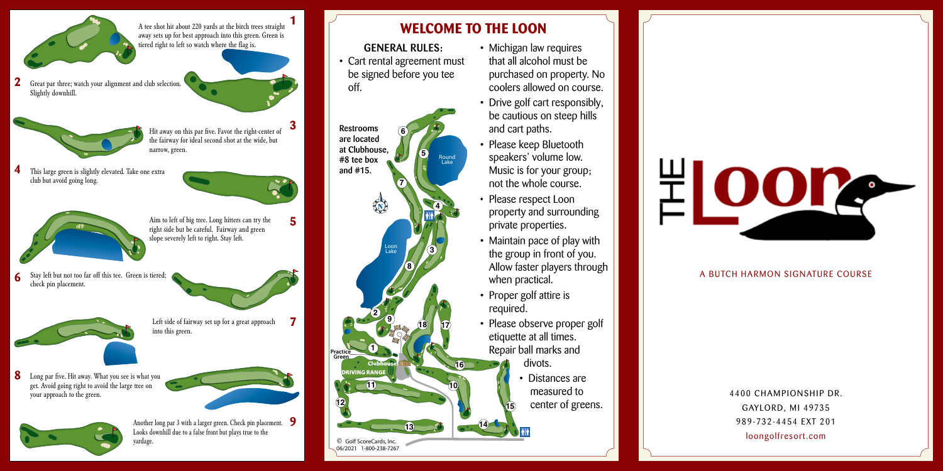

## **WELCOME TO THE LOON**

GENERAL RULES: • Cart rental agreement must be signed before you tee off.

Restrooms **6** are located at Clubhouse, **5** #8 tee box Round Lake and #15. **7** O **4** Loon **3** Lake **8 2 <sup>9</sup> <sup>18</sup> 17 1 Practice Green** Clubhouse **16** DRIVING RANGE **11 10 12 13** Golf ScoreCards, Inc. © 06/2021 1-800-238-7267

- Michigan law requires that all alcohol must be purchased on property. No coolers allowed on course.
- Drive golf cart responsibly, be cautious on steep hills and cart paths.
- Please keep Bluetooth speakers' volume low. Music is for your group; not the whole course.
- Please respect Loon property and surrounding private properties.
- Maintain pace of play with the group in front of you. Allow faster players through when practical.
- Proper golf attire is required.

**14**

**15**

- Please observe proper golf etiquette at all times. Repair ball marks and
	- divots.
		- Distances are measured to center of greens.



## A BUTCH HARMON SIGNATURE COURSE

4400 CHAMPIONSHIP DR. GAYLORD, MI 49735 989-732-4454 EXT 201 loongolfresort.com